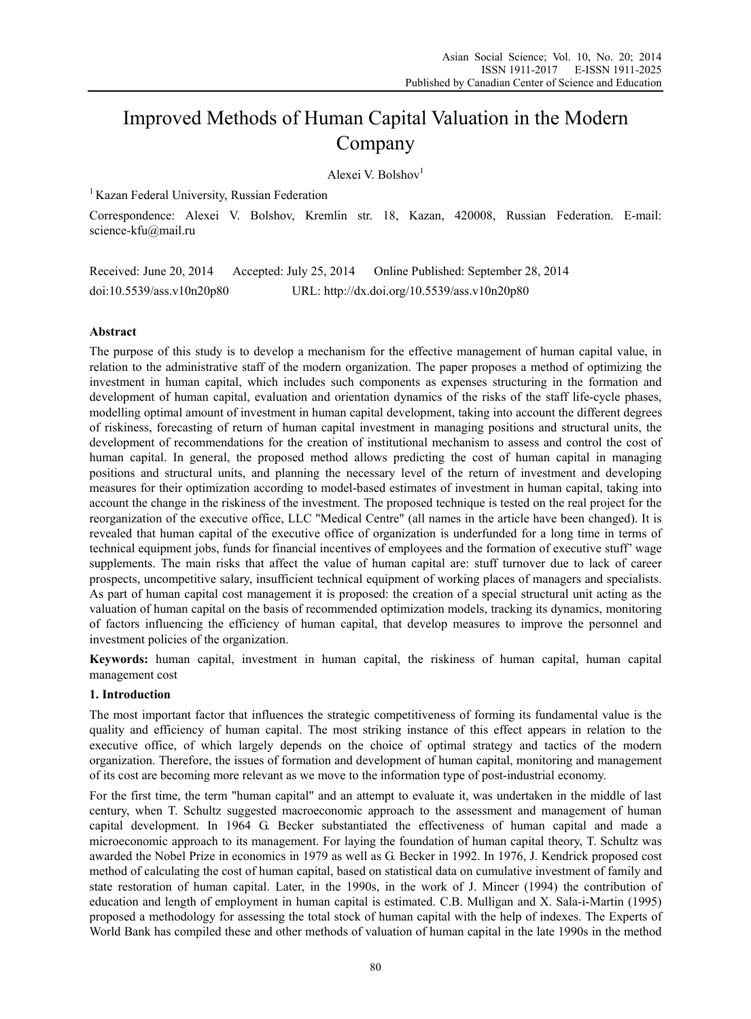# Improved Methods of Human Capital Valuation in the Modern Company

Alexei V. Bolshov<sup>1</sup>

<sup>1</sup> Kazan Federal University, Russian Federation

Correspondence: Alexei V. Bolshov, Kremlin str. 18, Kazan, 420008, Russian Federation. E-mail: science-kfu@mail.ru

Received: June 20, 2014 Accepted: July 25, 2014 Online Published: September 28, 2014 doi:10.5539/ass.v10n20p80 URL: http://dx.doi.org/10.5539/ass.v10n20p80

## **Abstract**

The purpose of this study is to develop a mechanism for the effective management of human capital value, in relation to the administrative staff of the modern organization. The paper proposes a method of optimizing the investment in human capital, which includes such components as expenses structuring in the formation and development of human capital, evaluation and orientation dynamics of the risks of the staff life-cycle phases, modelling optimal amount of investment in human capital development, taking into account the different degrees of riskiness, forecasting of return of human capital investment in managing positions and structural units, the development of recommendations for the creation of institutional mechanism to assess and control the cost of human capital. In general, the proposed method allows predicting the cost of human capital in managing positions and structural units, and planning the necessary level of the return of investment and developing measures for their optimization according to model-based estimates of investment in human capital, taking into account the change in the riskiness of the investment. The proposed technique is tested on the real project for the reorganization of the executive office, LLC "Medical Centre" (all names in the article have been changed). It is revealed that human capital of the executive office of organization is underfunded for a long time in terms of technical equipment jobs, funds for financial incentives of employees and the formation of executive stuff' wage supplements. The main risks that affect the value of human capital are: stuff turnover due to lack of career prospects, uncompetitive salary, insufficient technical equipment of working places of managers and specialists. As part of human capital cost management it is proposed: the creation of a special structural unit acting as the valuation of human capital on the basis of recommended optimization models, tracking its dynamics, monitoring of factors influencing the efficiency of human capital, that develop measures to improve the personnel and investment policies of the organization.

**Keywords:** human capital, investment in human capital, the riskiness of human capital, human capital management cost

## **1. Introduction**

The most important factor that influences the strategic competitiveness of forming its fundamental value is the quality and efficiency of human capital. The most striking instance of this effect appears in relation to the executive office, of which largely depends on the choice of optimal strategy and tactics of the modern organization. Therefore, the issues of formation and development of human capital, monitoring and management of its cost are becoming more relevant as we move to the information type of post-industrial economy.

For the first time, the term "human capital" and an attempt to evaluate it, was undertaken in the middle of last century, when T. Schultz suggested macroeconomic approach to the assessment and management of human capital development. In 1964 G. Becker substantiated the effectiveness of human capital and made a microeconomic approach to its management. For laying the foundation of human capital theory, T. Schultz was awarded the Nobel Prize in economics in 1979 as well as G. Becker in 1992. In 1976, J. Kendrick proposed cost method of calculating the cost of human capital, based on statistical data on cumulative investment of family and state restoration of human capital. Later, in the 1990s, in the work of J. Mincer (1994) the contribution of education and length of employment in human capital is estimated. C.B. Mulligan and X. Sala-i-Martin (1995) proposed a methodology for assessing the total stock of human capital with the help of indexes. The Experts of World Bank has compiled these and other methods of valuation of human capital in the late 1990s in the method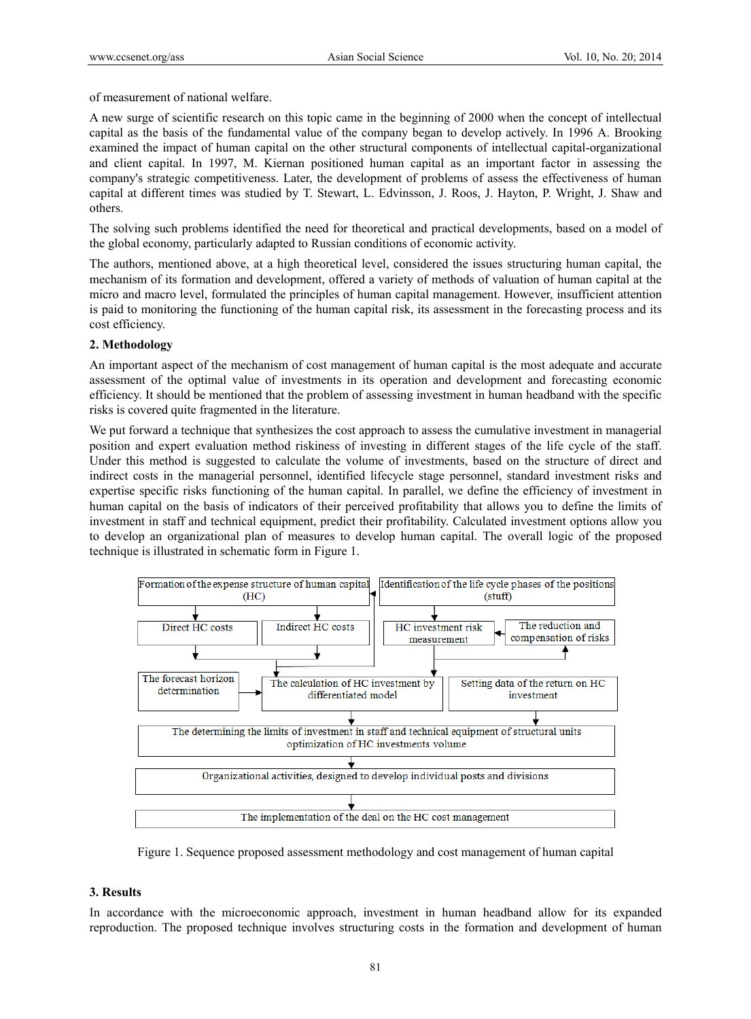of measurement of national welfare.

A new surge of scientific research on this topic came in the beginning of 2000 when the concept of intellectual capital as the basis of the fundamental value of the company began to develop actively. In 1996 A. Brooking examined the impact of human capital on the other structural components of intellectual capital-organizational and client capital. In 1997, M. Kiernan positioned human capital as an important factor in assessing the company's strategic competitiveness. Later, the development of problems of assess the effectiveness of human capital at different times was studied by T. Stewart, L. Edvinsson, J. Roos, J. Hayton, P. Wright, J. Shaw and others.

The solving such problems identified the need for theoretical and practical developments, based on a model of the global economy, particularly adapted to Russian conditions of economic activity.

The authors, mentioned above, at a high theoretical level, considered the issues structuring human capital, the mechanism of its formation and development, offered a variety of methods of valuation of human capital at the micro and macro level, formulated the principles of human capital management. However, insufficient attention is paid to monitoring the functioning of the human capital risk, its assessment in the forecasting process and its cost efficiency.

## **2. Methodology**

An important aspect of the mechanism of cost management of human capital is the most adequate and accurate assessment of the optimal value of investments in its operation and development and forecasting economic efficiency. It should be mentioned that the problem of assessing investment in human headband with the specific risks is covered quite fragmented in the literature.

We put forward a technique that synthesizes the cost approach to assess the cumulative investment in managerial position and expert evaluation method riskiness of investing in different stages of the life cycle of the staff. Under this method is suggested to calculate the volume of investments, based on the structure of direct and indirect costs in the managerial personnel, identified lifecycle stage personnel, standard investment risks and expertise specific risks functioning of the human capital. In parallel, we define the efficiency of investment in human capital on the basis of indicators of their perceived profitability that allows you to define the limits of investment in staff and technical equipment, predict their profitability. Calculated investment options allow you to develop an organizational plan of measures to develop human capital. The overall logic of the proposed technique is illustrated in schematic form in Figure 1.



Figure 1. Sequence proposed assessment methodology and cost management of human capital

#### **3. Results**

In accordance with the microeconomic approach, investment in human headband allow for its expanded reproduction. The proposed technique involves structuring costs in the formation and development of human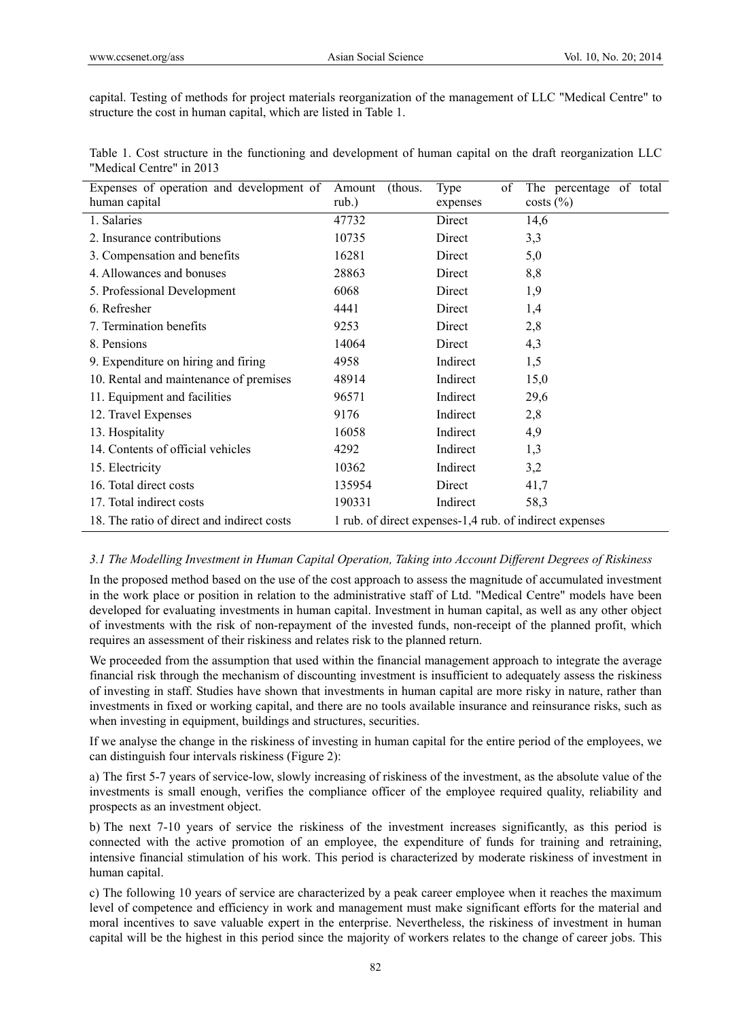capital. Testing of methods for project materials reorganization of the management of LLC "Medical Centre" to structure the cost in human capital, which are listed in Table 1.

| Table 1. Cost structure in the functioning and development of human capital on the draft reorganization LLC |  |  |  |  |
|-------------------------------------------------------------------------------------------------------------|--|--|--|--|
| "Medical Centre" in 2013                                                                                    |  |  |  |  |

| Expenses of operation and development of<br>human capital | (thous.<br>Amount<br>rub.)                              | Type<br>of<br>expenses | The percentage of total<br>costs(%) |
|-----------------------------------------------------------|---------------------------------------------------------|------------------------|-------------------------------------|
|                                                           |                                                         |                        |                                     |
| 1. Salaries                                               | 47732                                                   | Direct                 | 14,6                                |
| 2. Insurance contributions                                | 10735                                                   | Direct                 | 3,3                                 |
| 3. Compensation and benefits                              | 16281                                                   | Direct                 | 5,0                                 |
| 4. Allowances and bonuses                                 | 28863                                                   | Direct                 | 8,8                                 |
| 5. Professional Development                               | 6068                                                    | Direct                 | 1,9                                 |
| 6. Refresher                                              | 4441                                                    | Direct                 | 1,4                                 |
| 7. Termination benefits                                   | 9253                                                    | Direct                 | 2,8                                 |
| 8. Pensions                                               | 14064                                                   | Direct                 | 4,3                                 |
| 9. Expenditure on hiring and firing                       | 4958                                                    | Indirect               | 1,5                                 |
| 10. Rental and maintenance of premises                    | 48914                                                   | Indirect               | 15,0                                |
| 11. Equipment and facilities                              | 96571                                                   | Indirect               | 29,6                                |
| 12. Travel Expenses                                       | 9176                                                    | Indirect               | 2,8                                 |
| 13. Hospitality                                           | 16058                                                   | Indirect               | 4,9                                 |
| 14. Contents of official vehicles                         | 4292                                                    | Indirect               | 1,3                                 |
| 15. Electricity                                           | 10362                                                   | Indirect               | 3,2                                 |
| 16. Total direct costs                                    | 135954                                                  | Direct                 | 41,7                                |
| 17. Total indirect costs                                  | 190331                                                  | Indirect               | 58,3                                |
| 18. The ratio of direct and indirect costs                | 1 rub. of direct expenses-1,4 rub. of indirect expenses |                        |                                     |

## *3.1 The Modelling Investment in Human Capital Operation, Taking into Account Different Degrees of Riskiness*

In the proposed method based on the use of the cost approach to assess the magnitude of accumulated investment in the work place or position in relation to the administrative staff of Ltd. "Medical Centre" models have been developed for evaluating investments in human capital. Investment in human capital, as well as any other object of investments with the risk of non-repayment of the invested funds, non-receipt of the planned profit, which requires an assessment of their riskiness and relates risk to the planned return.

We proceeded from the assumption that used within the financial management approach to integrate the average financial risk through the mechanism of discounting investment is insufficient to adequately assess the riskiness of investing in staff. Studies have shown that investments in human capital are more risky in nature, rather than investments in fixed or working capital, and there are no tools available insurance and reinsurance risks, such as when investing in equipment, buildings and structures, securities.

If we analyse the change in the riskiness of investing in human capital for the entire period of the employees, we can distinguish four intervals riskiness (Figure 2):

a) The first 5-7 years of service-low, slowly increasing of riskiness of the investment, as the absolute value of the investments is small enough, verifies the compliance officer of the employee required quality, reliability and prospects as an investment object.

b) The next 7-10 years of service the riskiness of the investment increases significantly, as this period is connected with the active promotion of an employee, the expenditure of funds for training and retraining, intensive financial stimulation of his work. This period is characterized by moderate riskiness of investment in human capital.

c) The following 10 years of service are characterized by a peak career employee when it reaches the maximum level of competence and efficiency in work and management must make significant efforts for the material and moral incentives to save valuable expert in the enterprise. Nevertheless, the riskiness of investment in human capital will be the highest in this period since the majority of workers relates to the change of career jobs. This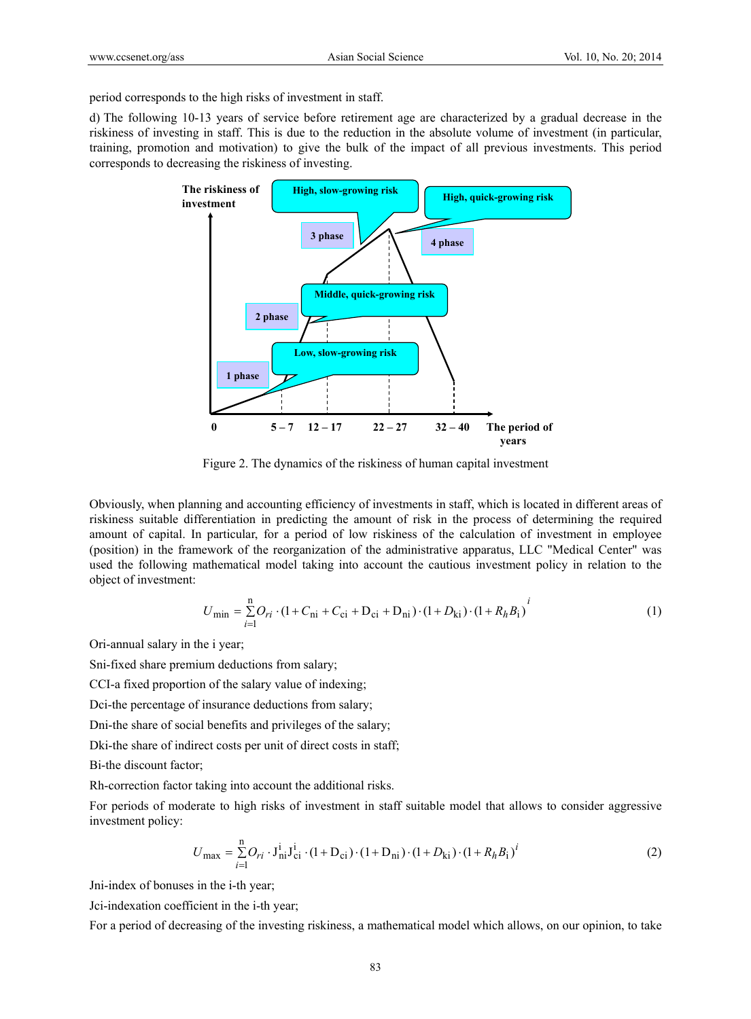period corresponds to the high risks of investment in staff.

d) The following 10-13 years of service before retirement age are characterized by a gradual decrease in the riskiness of investing in staff. This is due to the reduction in the absolute volume of investment (in particular, training, promotion and motivation) to give the bulk of the impact of all previous investments. This period corresponds to decreasing the riskiness of investing.



Figure 2. The dynamics of the riskiness of human capital investment

Obviously, when planning and accounting efficiency of investments in staff, which is located in different areas of riskiness suitable differentiation in predicting the amount of risk in the process of determining the required amount of capital. In particular, for a period of low riskiness of the calculation of investment in employee (position) in the framework of the reorganization of the administrative apparatus, LLC "Medical Center" was used the following mathematical model taking into account the cautious investment policy in relation to the object of investment:

$$
U_{\min} = \sum_{i=1}^{n} O_{ri} \cdot (1 + C_{\text{ni}} + C_{\text{ci}} + D_{\text{ci}} + D_{\text{ni}}) \cdot (1 + D_{\text{ki}}) \cdot (1 + R_h B_i)^{i}
$$
(1)

Ori-annual salary in the i year;

Sni-fixed share premium deductions from salary;

CCI-a fixed proportion of the salary value of indexing;

Dci-the percentage of insurance deductions from salary;

Dni-the share of social benefits and privileges of the salary;

Dki-the share of indirect costs per unit of direct costs in staff;

Bi-the discount factor;

Rh-correction factor taking into account the additional risks.

For periods of moderate to high risks of investment in staff suitable model that allows to consider aggressive investment policy:

$$
U_{\text{max}} = \sum_{i=1}^{n} O_{ri} \cdot J_{\text{ni}}^{i} J_{\text{ci}}^{i} \cdot (1 + D_{\text{ci}}) \cdot (1 + D_{\text{ni}}) \cdot (1 + D_{\text{ki}}) \cdot (1 + R_h B_i)^{i}
$$
(2)

Jni-index of bonuses in the i-th year;

Jci-indexation coefficient in the i-th year;

For a period of decreasing of the investing riskiness, a mathematical model which allows, on our opinion, to take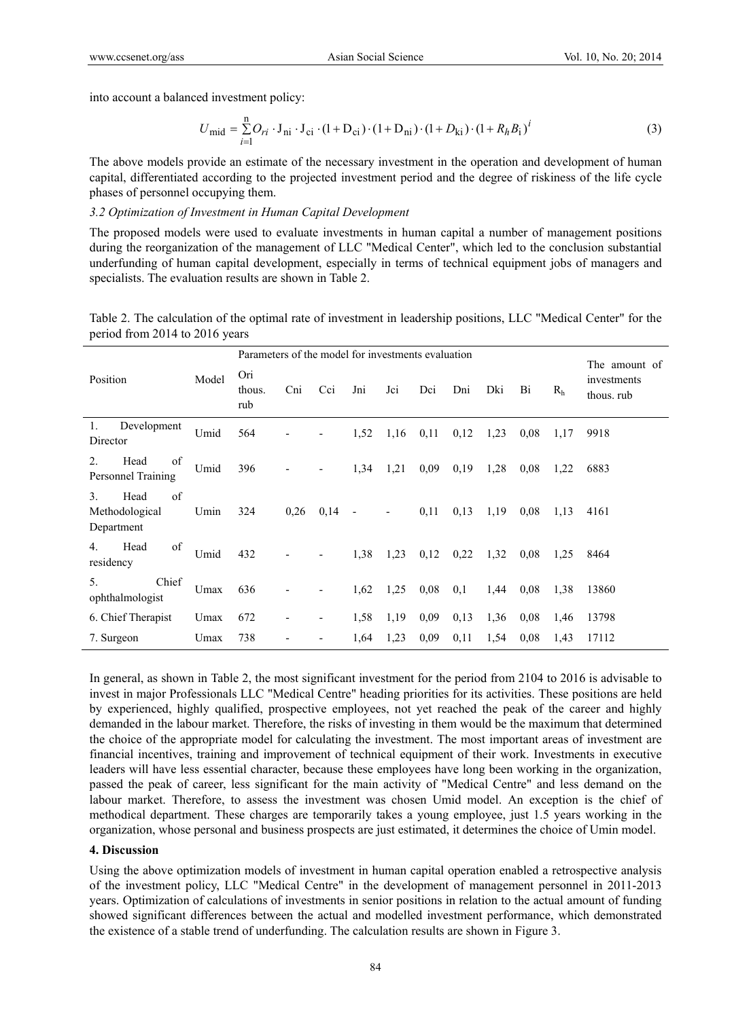into account a balanced investment policy:

$$
U_{\text{mid}} = \sum_{i=1}^{n} O_{ri} \cdot J_{\text{ni}} \cdot J_{\text{ci}} \cdot (1 + D_{\text{ci}}) \cdot (1 + D_{\text{ni}}) \cdot (1 + D_{\text{ki}}) \cdot (1 + R_h B_i)^i
$$
(3)

The above models provide an estimate of the necessary investment in the operation and development of human capital, differentiated according to the projected investment period and the degree of riskiness of the life cycle phases of personnel occupying them.

#### *3.2 Optimization of Investment in Human Capital Development*

The proposed models were used to evaluate investments in human capital a number of management positions during the reorganization of the management of LLC "Medical Center", which led to the conclusion substantial underfunding of human capital development, especially in terms of technical equipment jobs of managers and specialists. The evaluation results are shown in Table 2.

Table 2. The calculation of the optimal rate of investment in leadership positions, LLC "Medical Center" for the period from 2014 to 2016 years

| Parameters of the model for investments evaluation |       |       |                      |      |      |                          |      |      |      |      |      | The amount of  |                           |
|----------------------------------------------------|-------|-------|----------------------|------|------|--------------------------|------|------|------|------|------|----------------|---------------------------|
| Position                                           |       | Model | Ori<br>thous.<br>rub | Cni  | Cci  | Jni                      | Jci  | Dci  | Dni  | Dki  | Bi   | R <sub>h</sub> | investments<br>thous. rub |
| Development<br>1.<br>Director                      |       | Umid  | 564                  |      |      | 1,52                     | 1,16 | 0,11 | 0,12 | 1,23 | 0,08 | 1,17           | 9918                      |
| $\overline{2}$ .<br>Head<br>Personnel Training     | of    | Umid  | 396                  |      |      | 1,34                     | 1,21 | 0,09 | 0,19 | 1,28 | 0,08 | 1,22           | 6883                      |
| 3.<br>Head<br>Methodological<br>Department         | of    | Umin  | 324                  | 0,26 | 0,14 | $\overline{\phantom{a}}$ | -    | 0,11 | 0,13 | 1,19 | 0,08 | 1,13           | 4161                      |
| Head<br>4.<br>residency                            | of    | Umid  | 432                  |      |      | 1,38                     | 1,23 | 0,12 | 0,22 | 1,32 | 0,08 | 1,25           | 8464                      |
| 5.<br>ophthalmologist                              | Chief | Umax  | 636                  | ۰    | -    | 1,62                     | 1,25 | 0,08 | 0,1  | 1,44 | 0,08 | 1,38           | 13860                     |
| 6. Chief Therapist                                 |       | Umax  | 672                  | -    | ۰    | 1,58                     | 1,19 | 0,09 | 0,13 | 1,36 | 0,08 | 1,46           | 13798                     |
| 7. Surgeon                                         |       | Umax  | 738                  |      |      | 1,64                     | 1,23 | 0,09 | 0,11 | 1,54 | 0,08 | 1,43           | 17112                     |

In general, as shown in Table 2, the most significant investment for the period from 2104 to 2016 is advisable to invest in major Professionals LLC "Medical Centre" heading priorities for its activities. These positions are held by experienced, highly qualified, prospective employees, not yet reached the peak of the career and highly demanded in the labour market. Therefore, the risks of investing in them would be the maximum that determined the choice of the appropriate model for calculating the investment. The most important areas of investment are financial incentives, training and improvement of technical equipment of their work. Investments in executive leaders will have less essential character, because these employees have long been working in the organization, passed the peak of career, less significant for the main activity of "Medical Centre" and less demand on the labour market. Therefore, to assess the investment was chosen Umid model. An exception is the chief of methodical department. These charges are temporarily takes a young employee, just 1.5 years working in the organization, whose personal and business prospects are just estimated, it determines the choice of Umin model.

# **4. Discussion**

Using the above optimization models of investment in human capital operation enabled a retrospective analysis of the investment policy, LLC "Medical Centre" in the development of management personnel in 2011-2013 years. Optimization of calculations of investments in senior positions in relation to the actual amount of funding showed significant differences between the actual and modelled investment performance, which demonstrated the existence of a stable trend of underfunding. The calculation results are shown in Figure 3.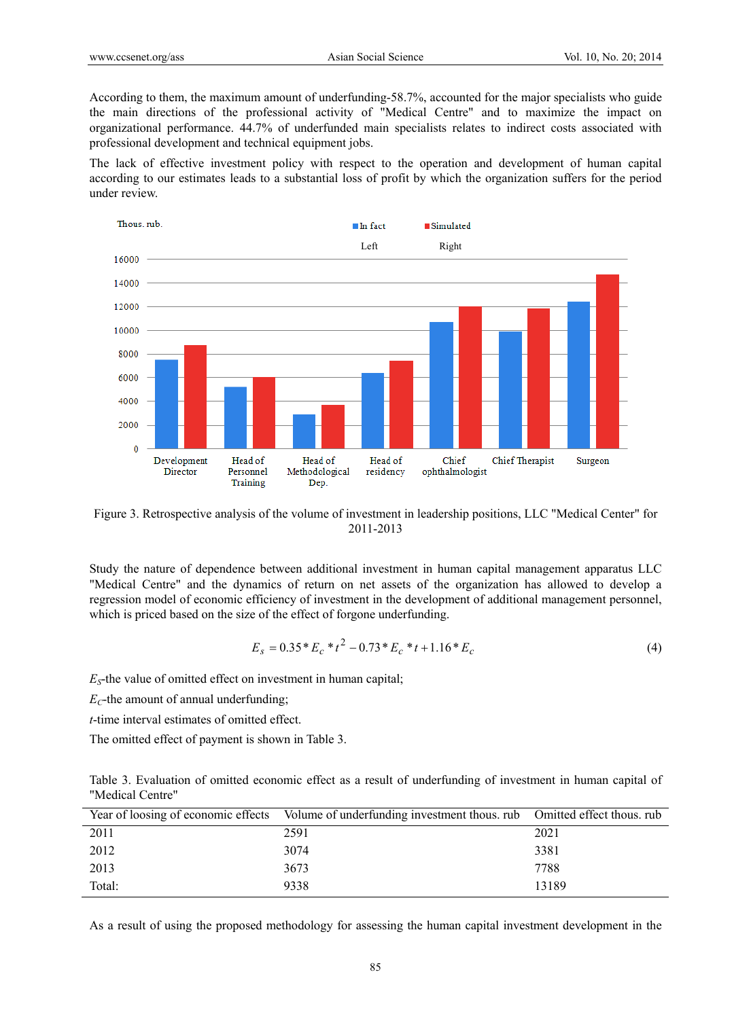According to them, the maximum amount of underfunding-58.7%, accounted for the major specialists who guide the main directions of the professional activity of "Medical Centre" and to maximize the impact on organizational performance. 44.7% of underfunded main specialists relates to indirect costs associated with professional development and technical equipment jobs.

The lack of effective investment policy with respect to the operation and development of human capital according to our estimates leads to a substantial loss of profit by which the organization suffers for the period under review.



Figure 3. Retrospective analysis of the volume of investment in leadership positions, LLC "Medical Center" for 2011-2013

Study the nature of dependence between additional investment in human capital management apparatus LLC "Medical Centre" and the dynamics of return on net assets of the organization has allowed to develop a regression model of economic efficiency of investment in the development of additional management personnel, which is priced based on the size of the effect of forgone underfunding.

$$
E_s = 0.35 \cdot E_c \cdot t^2 - 0.73 \cdot E_c \cdot t + 1.16 \cdot E_c \tag{4}
$$

 $E<sub>S</sub>$ -the value of omitted effect on investment in human capital;

 $E_C$ -the amount of annual underfunding;

*t*-time interval estimates of omitted effect.

The omitted effect of payment is shown in Table 3.

Table 3. Evaluation of omitted economic effect as a result of underfunding of investment in human capital of "Medical Centre"

|        | Year of loosing of economic effects Volume of underfunding investment thous. rub Omitted effect thous. rub |       |
|--------|------------------------------------------------------------------------------------------------------------|-------|
| 2011   | 2591                                                                                                       | 2021  |
| 2012   | 3074                                                                                                       | 3381  |
| 2013   | 3673                                                                                                       | 7788  |
| Total: | 9338                                                                                                       | 13189 |

As a result of using the proposed methodology for assessing the human capital investment development in the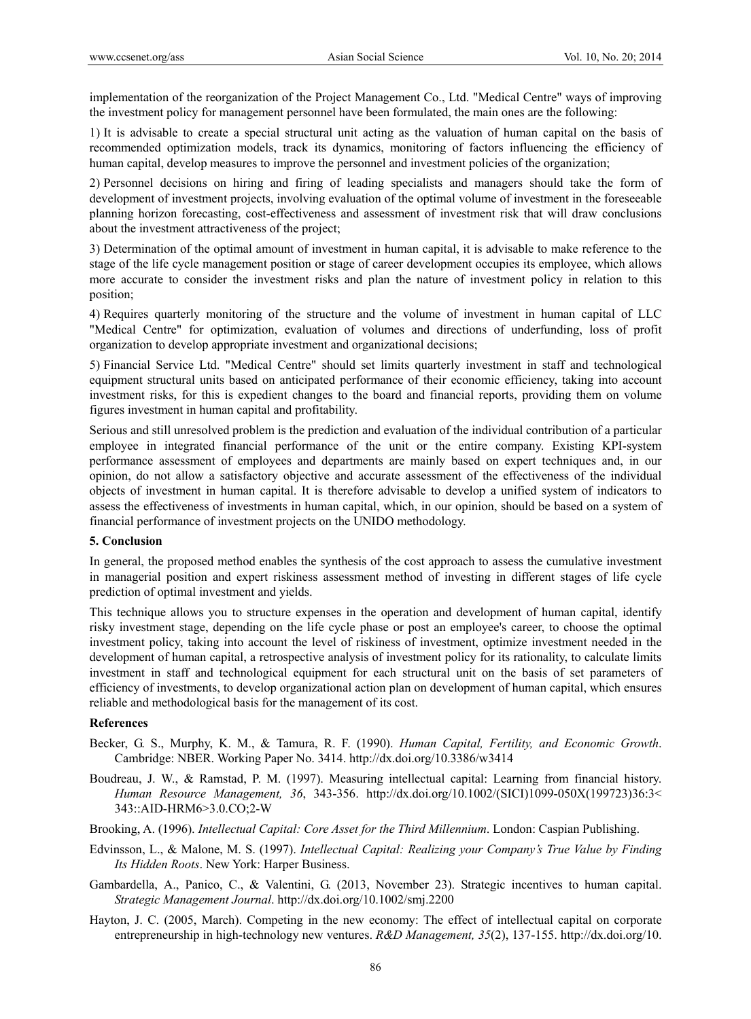implementation of the reorganization of the Project Management Co., Ltd. "Medical Centre" ways of improving the investment policy for management personnel have been formulated, the main ones are the following:

1) It is advisable to create a special structural unit acting as the valuation of human capital on the basis of recommended optimization models, track its dynamics, monitoring of factors influencing the efficiency of human capital, develop measures to improve the personnel and investment policies of the organization;

2) Personnel decisions on hiring and firing of leading specialists and managers should take the form of development of investment projects, involving evaluation of the optimal volume of investment in the foreseeable planning horizon forecasting, cost-effectiveness and assessment of investment risk that will draw conclusions about the investment attractiveness of the project;

3) Determination of the optimal amount of investment in human capital, it is advisable to make reference to the stage of the life cycle management position or stage of career development occupies its employee, which allows more accurate to consider the investment risks and plan the nature of investment policy in relation to this position;

4) Requires quarterly monitoring of the structure and the volume of investment in human capital of LLC "Medical Centre" for optimization, evaluation of volumes and directions of underfunding, loss of profit organization to develop appropriate investment and organizational decisions;

5) Financial Service Ltd. "Medical Centre" should set limits quarterly investment in staff and technological equipment structural units based on anticipated performance of their economic efficiency, taking into account investment risks, for this is expedient changes to the board and financial reports, providing them on volume figures investment in human capital and profitability.

Serious and still unresolved problem is the prediction and evaluation of the individual contribution of a particular employee in integrated financial performance of the unit or the entire company. Existing KPI-system performance assessment of employees and departments are mainly based on expert techniques and, in our opinion, do not allow a satisfactory objective and accurate assessment of the effectiveness of the individual objects of investment in human capital. It is therefore advisable to develop a unified system of indicators to assess the effectiveness of investments in human capital, which, in our opinion, should be based on a system of financial performance of investment projects on the UNIDO methodology.

#### **5. Conclusion**

In general, the proposed method enables the synthesis of the cost approach to assess the cumulative investment in managerial position and expert riskiness assessment method of investing in different stages of life cycle prediction of optimal investment and yields.

This technique allows you to structure expenses in the operation and development of human capital, identify risky investment stage, depending on the life cycle phase or post an employee's career, to choose the optimal investment policy, taking into account the level of riskiness of investment, optimize investment needed in the development of human capital, a retrospective analysis of investment policy for its rationality, to calculate limits investment in staff and technological equipment for each structural unit on the basis of set parameters of efficiency of investments, to develop organizational action plan on development of human capital, which ensures reliable and methodological basis for the management of its cost.

## **References**

- Becker, G. S., Murphy, K. M., & Tamura, R. F. (1990). *Human Capital, Fertility, and Economic Growth*. Cambridge: NBER. Working Paper No. 3414. http://dx.doi.org/10.3386/w3414
- Boudreau, J. W., & Ramstad, P. M. (1997). Measuring intellectual capital: Learning from financial history. *Human Resource Management, 36*, 343-356. http://dx.doi.org/10.1002/(SICI)1099-050X(199723)36:3< 343::AID-HRM6>3.0.CO;2-W
- Brooking, A. (1996). *Intellectual Capital: Core Asset for the Third Millennium*. London: Caspian Publishing.
- Edvinsson, L., & Malone, M. S. (1997). *Intellectual Capital: Realizing your Company's True Value by Finding Its Hidden Roots*. New York: Harper Business.
- Gambardella, A., Panico, C., & Valentini, G. (2013, November 23). Strategic incentives to human capital. *Strategic Management Journal*. http://dx.doi.org/10.1002/smj.2200
- Hayton, J. C. (2005, March). Competing in the new economy: The effect of intellectual capital on corporate entrepreneurship in high-technology new ventures. *R&D Management, 35*(2), 137-155. http://dx.doi.org/10.